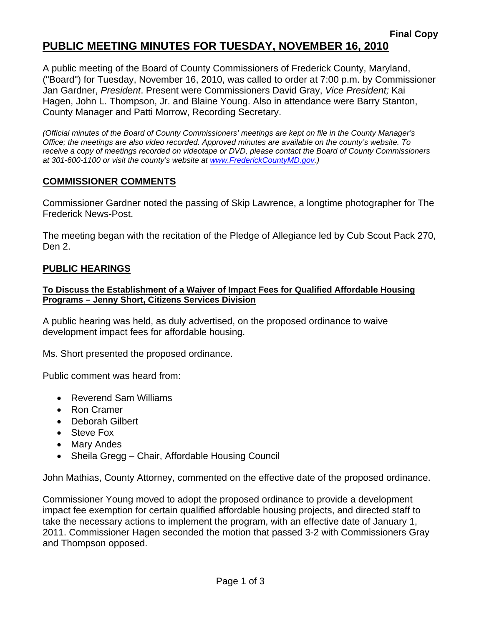# **PUBLIC MEETING MINUTES FOR TUESDAY, NOVEMBER 16, 2010**

A public meeting of the Board of County Commissioners of Frederick County, Maryland, ("Board") for Tuesday, November 16, 2010, was called to order at 7:00 p.m. by Commissioner Jan Gardner, *President*. Present were Commissioners David Gray, *Vice President;* Kai Hagen, John L. Thompson, Jr. and Blaine Young. Also in attendance were Barry Stanton, County Manager and Patti Morrow, Recording Secretary.

*(Official minutes of the Board of County Commissioners' meetings are kept on file in the County Manager's Office; the meetings are also video recorded. Approved minutes are available on the county's website. To receive a copy of meetings recorded on videotape or DVD, please contact the Board of County Commissioners at 301-600-1100 or visit the county's website at [www.FrederickCountyMD.gov](http://www.frederickcountymd.gov/).)* 

#### **COMMISSIONER COMMENTS**

Commissioner Gardner noted the passing of Skip Lawrence, a longtime photographer for The Frederick News-Post.

The meeting began with the recitation of the Pledge of Allegiance led by Cub Scout Pack 270, Den 2.

#### **PUBLIC HEARINGS**

#### **To Discuss the Establishment of a Waiver of Impact Fees for Qualified Affordable Housing Programs – Jenny Short, Citizens Services Division**

A public hearing was held, as duly advertised, on the proposed ordinance to waive development impact fees for affordable housing.

Ms. Short presented the proposed ordinance.

Public comment was heard from:

- Reverend Sam Williams
- Ron Cramer
- Deborah Gilbert
- Steve Fox
- Mary Andes
- Sheila Gregg Chair, Affordable Housing Council

John Mathias, County Attorney, commented on the effective date of the proposed ordinance.

Commissioner Young moved to adopt the proposed ordinance to provide a development impact fee exemption for certain qualified affordable housing projects, and directed staff to take the necessary actions to implement the program, with an effective date of January 1, 2011. Commissioner Hagen seconded the motion that passed 3-2 with Commissioners Gray and Thompson opposed.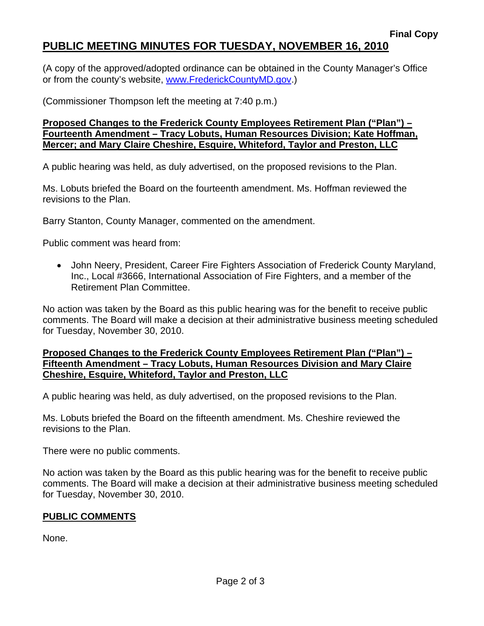# **PUBLIC MEETING MINUTES FOR TUESDAY, NOVEMBER 16, 2010**

(A copy of the approved/adopted ordinance can be obtained in the County Manager's Office or from the county's website, [www.FrederickCountyMD.gov.](http://www.frederickcountymd.gov/))

(Commissioner Thompson left the meeting at 7:40 p.m.)

**Proposed Changes to the Frederick County Employees Retirement Plan ("Plan") – Fourteenth Amendment – Tracy Lobuts, Human Resources Division; Kate Hoffman, Mercer; and Mary Claire Cheshire, Esquire, Whiteford, Taylor and Preston, LLC**

A public hearing was held, as duly advertised, on the proposed revisions to the Plan.

Ms. Lobuts briefed the Board on the fourteenth amendment. Ms. Hoffman reviewed the revisions to the Plan.

Barry Stanton, County Manager, commented on the amendment.

Public comment was heard from:

• John Neery, President, Career Fire Fighters Association of Frederick County Maryland, Inc., Local #3666, International Association of Fire Fighters, and a member of the Retirement Plan Committee.

No action was taken by the Board as this public hearing was for the benefit to receive public comments. The Board will make a decision at their administrative business meeting scheduled for Tuesday, November 30, 2010.

#### **Proposed Changes to the Frederick County Employees Retirement Plan ("Plan") – Fifteenth Amendment – Tracy Lobuts, Human Resources Division and Mary Claire Cheshire, Esquire, Whiteford, Taylor and Preston, LLC**

A public hearing was held, as duly advertised, on the proposed revisions to the Plan.

Ms. Lobuts briefed the Board on the fifteenth amendment. Ms. Cheshire reviewed the revisions to the Plan.

There were no public comments.

No action was taken by the Board as this public hearing was for the benefit to receive public comments. The Board will make a decision at their administrative business meeting scheduled for Tuesday, November 30, 2010.

### **PUBLIC COMMENTS**

None.